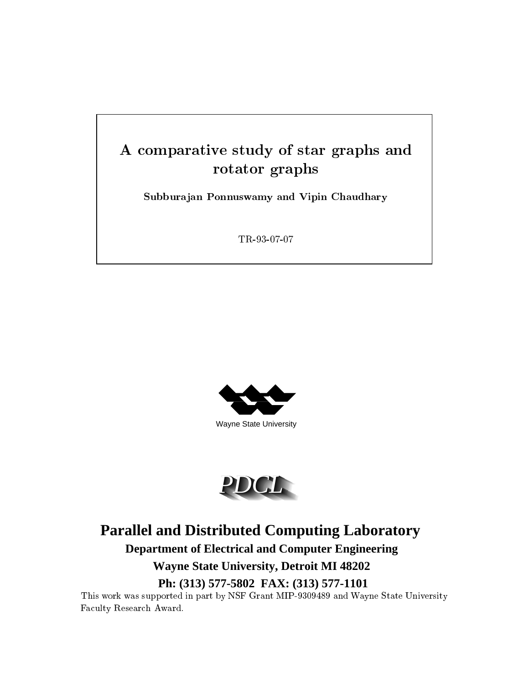# A comparative study of star graphs and rotator graphs

Subburajan Ponnuswamy and Vipin Chaudhary

TR-93-07-07



Wayne State University



# **Parallel and Distributed Computing Laboratory**

**Department of Electrical and Computer Engineering**

**Wayne State University, Detroit MI 48202**

**Ph: (313) 577-5802 FAX: (313) 577-1101**

This work was supported in part by NSF Grant MIP-9309489 and Wayne State University Faculty Research Award.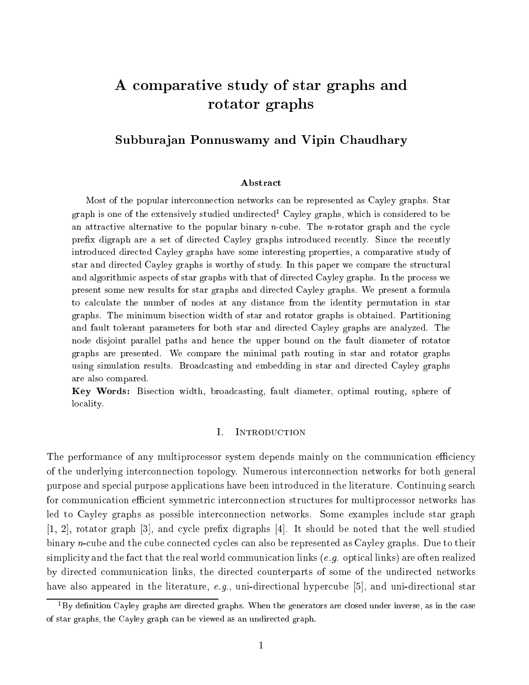## A comparative study of star graphs and rotator graphs

### Subbura jan Ponnuswamy and Vipin Chaudhary

#### Abstract

Most of the popular interconnection networks can be represented as Cayley graphs. Star graph is one of the extensively studied undirected<sup>1</sup> Cayley graphs, which is considered to be an attractive alternative to the popular binary  $n$ -cube. The n-rotator graph and the cycle prex digraph are a set of directed Cayley graphs introduced recently. Since the recently introduced directed Cayley graphs have some interesting properties, a comparative study of star and directed Cayley graphs is worthy of study. In this paper we compare the structural and algorithmic aspects of star graphs with that of directed Cayley graphs. In the process we present some new results for star graphs and directed Cayley graphs. We present a formula to calculate the number of nodes at any distance from the identity permutation in star graphs. The minimum bisection width of star and rotator graphs is obtained. Partitioning and fault tolerant parameters for both star and directed Cayley graphs are analyzed. The node disjoint parallel paths and hence the upper bound on the fault diameter of rotator graphs are presented. We compare the minimal path routing in star and rotator graphs using simulation results. Broadcasting and embedding in star and directed Cayley graphs are also compared.

Key Words: Bisection width, broadcasting, fault diameter, optimal routing, sphere of locality.

#### I. INTRODUCTION

The performance of any multiprocessor system depends mainly on the communication efficiency of the underlying interconnection topology. Numerous interconnection networks for both general purpose and special purpose applications have been introduced in the literature. Continuing search for communication efficient symmetric interconnection structures for multiprocessor networks has led to Cayley graphs as possible interconnection networks. Some examples include star graph [1, 2], rotator graph [3], and cycle prex digraphs [4]. It should be noted that the well studied binary n-cube and the cube connected cycles can also be represented as Cayley graphs. Due to their simplicity and the fact that the real world communication links  $(e.g.$  optical links) are often realized by directed communication links, the directed counterparts of some of the undirected networks have also appeared in the literature, e.g., uni-directional hypercube [5], and uni-directional star

<sup>1</sup> By denition Cayley graphs are directed graphs. When the generators are closed under inverse, as in the case of star graphs, the Cayley graph can be viewed as an undirected graph.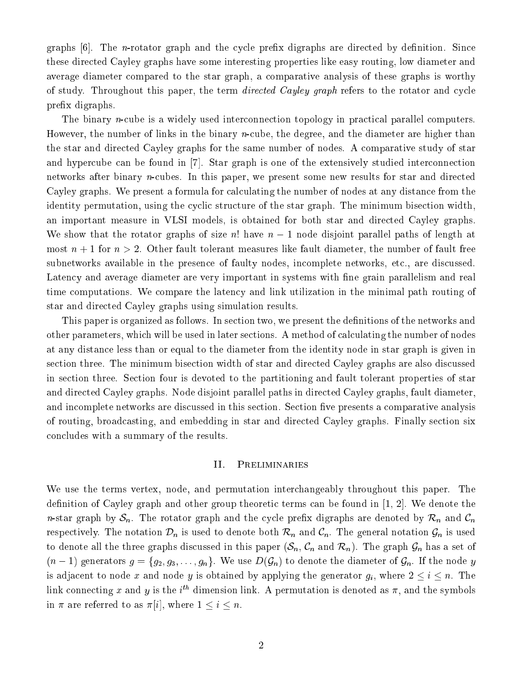graphs  $[6]$ . The *n*-rotator graph and the cycle prefix digraphs are directed by definition. Since these directed Cayley graphs have some interesting properties like easy routing, low diameter and average diameter compared to the star graph, a comparative analysis of these graphs is worthy of study. Throughout this paper, the term *directed Cayley graph* refers to the rotator and cycle prex digraphs.

The binary *n*-cube is a widely used interconnection topology in practical parallel computers. However, the number of links in the binary n-cube, the degree, and the diameter are higher than the star and directed Cayley graphs for the same number of nodes. A comparative study of star and hypercube can be found in [7]. Star graph is one of the extensively studied interconnection networks after binary *n*-cubes. In this paper, we present some new results for star and directed Cayley graphs. We present a formula for calculating the number of nodes at any distance from the identity permutation, using the cyclic structure of the star graph. The minimum bisection width, an important measure in VLSI models, is obtained for both star and directed Cayley graphs. We show that the rotator graphs of size n! have  $n-1$  node disjoint parallel paths of length at most  $n + 1$  for  $n > 2$ . Other fault tolerant measures like fault diameter, the number of fault free subnetworks available in the presence of faulty nodes, incomplete networks, etc., are discussed. Latency and average diameter are very important in systems with fine grain parallelism and real time computations. We compare the latency and link utilization in the minimal path routing of star and directed Cayley graphs using simulation results.

This paper is organized as follows. In section two, we present the definitions of the networks and other parameters, which will be used in later sections. A method of calculating the number of nodes at any distance less than or equal to the diameter from the identity node in star graph is given in section three. The minimum bisection width of star and directed Cayley graphs are also discussed in section three. Section four is devoted to the partitioning and fault tolerant properties of star and directed Cayley graphs. Node disjoint parallel paths in directed Cayley graphs, fault diameter, and incomplete networks are discussed in this section. Section five presents a comparative analysis of routing, broadcasting, and embedding in star and directed Cayley graphs. Finally section six concludes with a summary of the results.

#### II. Preliminaries

We use the terms vertex, node, and permutation interchangeably throughout this paper. The definition of Cayley graph and other group theoretic terms can be found in  $[1, 2]$ . We denote the n-star graph by Sn. The rotator graph and the cycle presented by Rn and the cycle presented by Rn and Cn respectively. The notation Dn is used to denote both Rn and Cn. The general notation Gn is used to denote all the three graphs discussed in this paper (Sn, Cn and Rn). The graph Gn has <sup>a</sup> set of  $(n-1)$  generators  $g = \{g_2, g_3, \ldots, g_n\}$ . We use  $D(\mathcal{G}_n)$  to denote the diameter of  $\mathcal{G}_n$ . If the node y is adjacent to node x and node y is obtained by applying the generator  $g_i$ , where  $2 \le i \le n$ . The tink connecting x and y is the  $i^{\ldots}$  dimension link. A permutation is denoted as  $\pi$ , and the symbols in  $\pi$  are referred to as  $\pi[i]$ , where  $1 \leq i \leq n$ .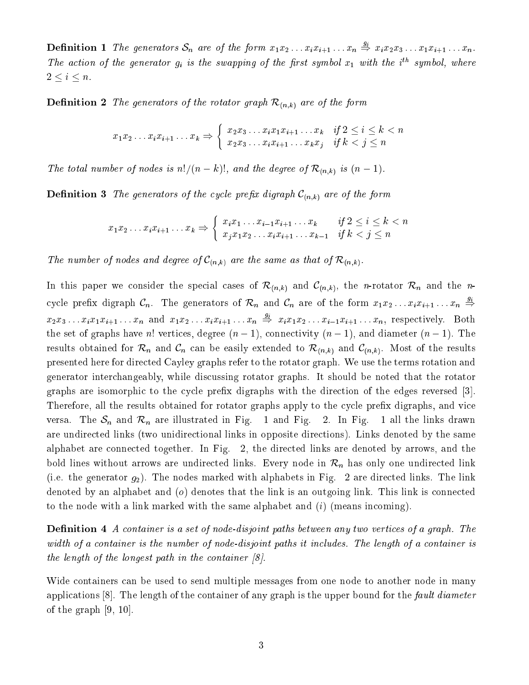**Definition 1** The generators  $S_n$  are of the form  $x_1x_2...x_ix_{i+1}...x_n \stackrel{y_i}{\Rightarrow} x_ix_2x_3...x_1x_{i+1}...x_n$ . The action of the generator  $g_i$  is the swapping of the first symbol  $x_1$  with the  $i^{...}$  symbol, where  $2\leq i\leq n$ .

**Definition 2** The generators of the rotator graph  $\mathcal{R}_{(n,k)}$  are of the form

$$
x_1x_2 \ldots x_i x_{i+1} \ldots x_k \Rightarrow \begin{cases} x_2x_3 \ldots x_i x_1 x_{i+1} \ldots x_k & \text{if } 2 \le i \le k < n \\ x_2x_3 \ldots x_i x_{i+1} \ldots x_k x_j & \text{if } k < j \le n \end{cases}
$$

The total number of nodes is  $n!/(n - k)!$ , and the degree of  $\mathcal{R}_{(n,k)}$  is  $(n - 1)$ .

**Definition 3** The generators of the cycle prefix digraph  $\mathcal{C}_{(n,k)}$  are of the form

$$
x_1x_2 \ldots x_ix_{i+1} \ldots x_k \Rightarrow \begin{cases} x_ix_1 \ldots x_{i-1}x_{i+1} \ldots x_k & \text{if } 2 \le i \le k < n \\ x_jx_1x_2 \ldots x_ix_{i+1} \ldots x_{k-1} & \text{if } k < j \le n \end{cases}
$$

The number of nodes and degree of  $\mathcal{C}_{(n,k)}$  are the same as that of  $\mathcal{R}_{(n,k)}$ .

In this paper we consider the special cases of  $\mathcal{R}_{(n,k)}$  and  $\mathcal{C}_{(n,k)}$ , the *n*-rotator  $\mathcal{R}_n$  and the *n*cycle prefix digraph  $\mathcal{C}_n$ . The generators of  $\mathcal{R}_n$  and  $\mathcal{C}_n$  are of the form  $x_1x_2 \ldots x_ix_{i+1} \ldots x_n \stackrel{\Rightarrow}{\Rightarrow}$  $x_2x_3 \ldots x_ix_1x_{i+1} \ldots x_n$  and  $x_1x_2 \ldots x_ix_{i+1} \ldots x_n \overset{\cong}{\Rightarrow} x_ix_1x_2 \ldots x_{i-1}x_{i+1} \ldots x_n$ , respectively. Both the set of graphs have n! vertices, degree  $(n-1)$ , connectivity  $(n-1)$ , and diameter  $(n-1)$ . The results obtained for Real  $\mu$  and  $\mu$  can be easily the results of  $\mathcal{E}(n,k)$  . Most of the results of the results presented here for directed Cayley graphs refer to the rotator graph. We use the terms rotation and generator interchangeably, while discussing rotator graphs. It should be noted that the rotator graphs are isomorphic to the cycle prefix digraphs with the direction of the edges reversed  $[3]$ . Therefore, all the results obtained for rotator graphs apply to the cycle prefix digraphs, and vice versa. The Sn and Rn are in Fig. 1 and Fig. 1 and Fig. 1 and Fig. 1 and Fig. 2. In Fig. 1 and  $\alpha$ are undirected links (two unidirectional links in opposite directions). Links denoted by the same alphabet are connected together. In Fig. 2, the directed links are denoted by arrows, and the bold lines without arrows are undirected links. Express  $\equiv$  in  $\mu$  arrows  $\mu$  arrows arrows arrows the undirected (i.e. the generator  $g_2$ ). The nodes marked with alphabets in Fig. 2 are directed links. The link denoted by an alphabet and  $(o)$  denotes that the link is an outgoing link. This link is connected to the node with a link marked with the same alphabet and  $(i)$  (means incoming).

**Definition 4** A container is a set of node-disjoint paths between any two vertices of a graph. The width of a container is the number of node-disjoint paths it includes. The length of a container is the length of the longest path in the container  $[8]$ .

Wide containers can be used to send multiple messages from one node to another node in many applications  $[8]$ . The length of the container of any graph is the upper bound for the *fault diameter* of the graph [9, 10].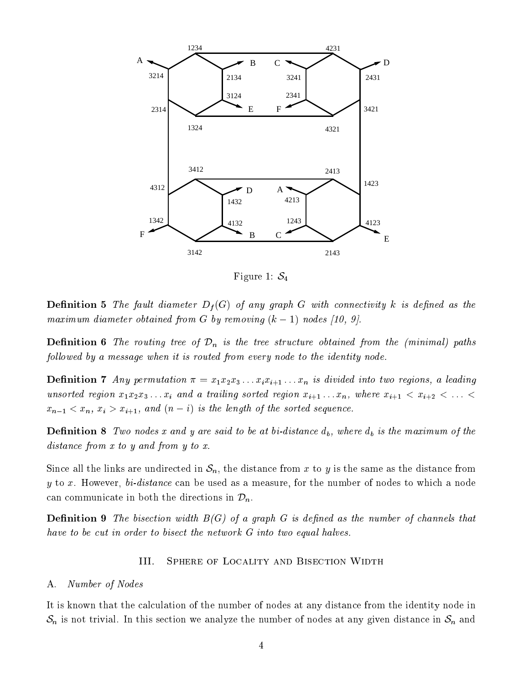

Figure 1:  $S_4$ 

**Definition 5** The fault diameter  $D_f(G)$  of any graph G with connectivity k is defined as the maximum diameter obtained from G by removing  $(k - 1)$  nodes [10, 9].

**Definition 6** The routing tree of  $\mathcal{D}_n$  is the tree structure obtained from the (minimal) paths followed by a message when it is routed from every node to the identity node.

**Definition 7** Any permutation  $\pi = x_1x_2x_3 \dots x_ix_{i+1} \dots x_n$  is divided into two regions, a leading unsorted region  $x_1x_2x_3 \ldots x_i$  and a trailing sorted region  $x_{i+1} \ldots x_n$ , where  $x_{i+1} < x_{i+2} < \ldots <$  $x_{n-1} < x_n$ ,  $x_i > x_{i+1}$ , and  $(n-i)$  is the length of the sorted sequence.

**Definition 8** Two nodes x and y are said to be at bi-distance  $d_b$ , where  $d_b$  is the maximum of the distance from x to y and from y to x.

Since all the links are undirected in  $S_n$ , the distance from x to y is the same as the distance from y to x. However, bi-distance can be used as a measure, for the number of nodes to which a node can communicate in both the directions in  $\mathcal{D}_n$ .

**Definition 9** The bisection width  $B(G)$  of a graph G is defined as the number of channels that have to be cut in order to bisect the network G into two equal halves.

#### III. Sphere of Locality and Bisection Width

#### A. Number of Nodes

It is known that the calculation of the number of nodes at any distance from the identity node in  $\bullet$   $\mu$  is not trivial. In this section we are number of nodes at any at any  $\bullet$  given distance in S  $\mu$  and  $\bullet$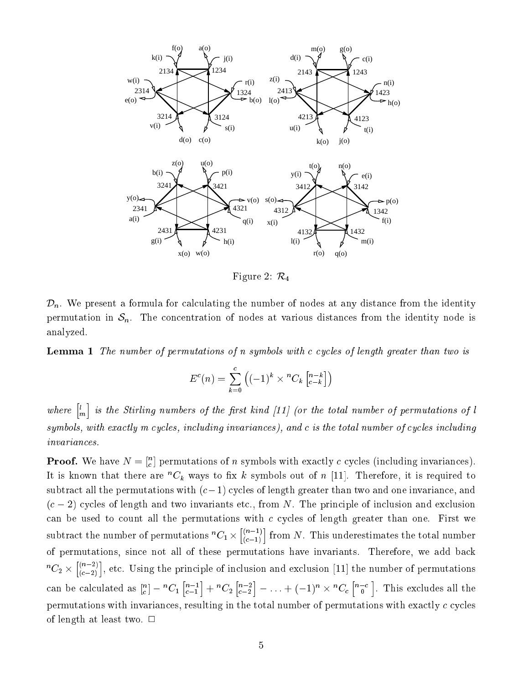

Figure 2:  $\mathcal{R}_4$ 

 $\mathcal{D}_n$ . We present a formula for calculating the number of nodes at any distance from the identity permutation in  $S_n$ . The concentration of nodes at various distances from the identity node is analyzed.

Lemma 1 The number of permutations of n symbols with <sup>c</sup> cycles of length greater than two is

$$
E^{c}(n) = \sum_{k=0}^{c} \left( (-1)^{k} \times {}^{n}C_{k} \left[ {}^{n-k}_{c-k} \right] \right)
$$

<sup>i</sup>

 $\begin{bmatrix} l \\ m \end{bmatrix}$ is the Stirling numbers of the rst kind [11] (or the total number of permutations of l symbols, with exactly m cycles, including invariances), and <sup>c</sup> is the total number of cycles including invariances.

**Proof.** We have  $N = \binom{n}{k}$  permutations of n symbols with exactly c cycles (including invariances). It is known that there are " $\cup_k$  ways to iix  $\kappa$  symbols out of  $n$  [11]. Therefore, it is required to subtract all the permutations with  $(c-1)$  cycles of length greater than two and one invariance, and  $(c-2)$  cycles of length and two invariants etc., from N. The principle of inclusion and exclusion can be used to count all the permutations with  $c$  cycles of length greater than one. First we subtract the number of permutations  $\mathbb{C}_{1} \times$  $\binom{(n-1)}{(c-1)}$  from N. This underestimates the total number of permutations, since not all of these permutations have invariants. Therefore, we add back  $^{\circ}$ C<sub>2</sub>  $\times$  $\binom{(n-2)}{(c-2)}$ , etc. Using the principle of inclusion and exclusion [11] the number of permutations can be calculated as  $[\begin{smallmatrix}c\cr c\end{smallmatrix}] = \begin{smallmatrix}\lnot\cr \lnot\end{smallmatrix}$  $\left[ \begin{matrix} n-1 \\ c-1 \end{matrix} \right]$  $]+{}^nC_2$  $\begin{bmatrix} n-2 \\ c-2 \end{bmatrix}$ <sup>i</sup>  $-...+(-1)^{n}\times C_{c}$  $\begin{bmatrix} n-c \\ 0 \end{bmatrix}$ <sup>i</sup> permutations with invariances, resulting in the total number of permutations with exactly <sup>c</sup> cycles of length at least two.  $\square$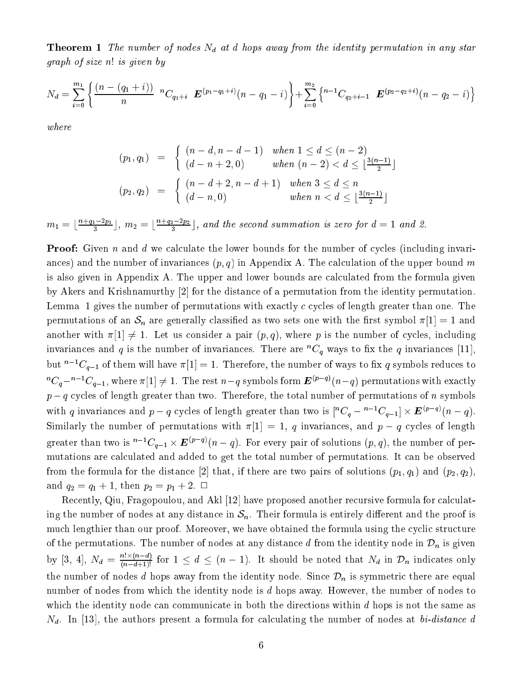**Theorem 1** The number of nodes  $N_d$  at d hops away from the identity permutation in any star graph of size n! is given by

$$
N_d = \sum_{i=0}^{m_1} \left\{ \frac{(n - (q_1 + i))}{n} \right\} {}^{n}C_{q_1 + i} \mathbf{E}^{(p_1 - q_1 + i)}(n - q_1 - i) + \sum_{i=0}^{m_2} \left\{ {}^{n-1}C_{q_2 + i - 1} \mathbf{E}^{(p_2 - q_2 + i)}(n - q_2 - i) \right\}
$$

where

$$
(p_1, q_1) = \begin{cases} (n-d, n-d-1) & when \ 1 \le d \le (n-2) \\ (d-n+2, 0) & when \ (n-2) < d \le \lfloor \frac{3(n-1)}{2} \rfloor \\ (p_2, q_2) = \begin{cases} (n-d+2, n-d+1) & when \ 3 \le d \le n \\ (d-n, 0) & when \ n < d \le \lfloor \frac{3(n-1)}{2} \rfloor \end{cases}
$$

 $m_1 = \lfloor \frac{n+q-2}{2}\rfloor, m_2 = \lfloor \frac{n+q-2}{2}\rfloor,$  and the second summation is zero for  $d = 1$  and 2.

**Proof:** Given n and d we calculate the lower bounds for the number of cycles (including invariances) and the number of invariances  $(p, q)$  in Appendix A. The calculation of the upper bound m is also given in Appendix A. The upper and lower bounds are calculated from the formula given by Akers and Krishnamurthy [2] for the distance of a permutation from the identity permutation. Lemma 1 gives the number of permutations with exactly c cycles of length greater than one. The permutations of an SN are generally classification as two sets ones with the sets only find  $\alpha$   $\beta$  and  $\alpha$ another with  $\pi[1] \neq 1$ . Let us consider a pair  $(p, q)$ , where p is the number of cycles, including invariances and  $q$  is the number of invariances. There are  $\mathbb{C}_q$  ways to fix the  $q$  invariances [11], but  $\lceil \cdots \rceil$   $C_{q-1}$  of them will have  $\pi |1| = 1$ . Therefore, the number of ways to fix q symbols reduces to  $n_{\mathbf{C}_q}$  –  $n_{\mathbf{C}_{q-1}},$  where  $\pi|1| \neq 1.$  The rest  $n-q$  symbols form  $\boldsymbol{E}^{(p-1)}(n-q)$  permutations with exactly p <sup>q</sup> cycles of length greater than two. Therefore, the total number of permutations of <sup>n</sup> symbols with q invariances and  $p-q$  cycles of length greater than two is  $\lceil {^vC_q} - {^vC_q} - 1 \rceil \times E^{(q-1)}(n-q).$ Similarly the number of permutations with  $\pi[1] = 1$ , q invariances, and  $p - q$  cycles of length greater than two is "  $^+C_{q-1}\times I\!\!\!E^{\alpha-\alpha}(n-q)$ . For every pair of solutions  $(p,q)$ , the number of permutations are calculated and added to get the total number of permutations. It can be observed from the formula for the distance [2] that, if there are two pairs of solutions  $(p_1, q_1)$  and  $(p_2, q_2)$ , and  $q_2 = q_1 + 1$ , then  $p_2 = p_1 + 2$ .

Recently, Qiu, Fragopoulou, and Akl [12] have proposed another recursive formula for calculating the number of nodes at any distance in  $S_n$ . Their formula is entirely different and the proof is much lengthier than our proof. Moreover, we have obtained the formula using the cyclic structure of the permutations. The number of nodes at any distance <sup>d</sup> from the identity node in Dn is given by [3, 4],  $N_d = \frac{n-d+1}{(n-d+1)!}$  for  $1 \leq d \leq (n-1)$ . It should be noted that  $N_d$  in  $\mathcal{D}_n$  indicates only the number of the nodes differentially from the identity from the identity  $\mu$  is symmetric there are equally number of nodes from which the identity node is d hops away. However, the number of nodes to which the identity node can communicate in both the directions within  $d$  hops is not the same as  $N_d$ . In [13], the authors present a formula for calculating the number of nodes at bi-distance d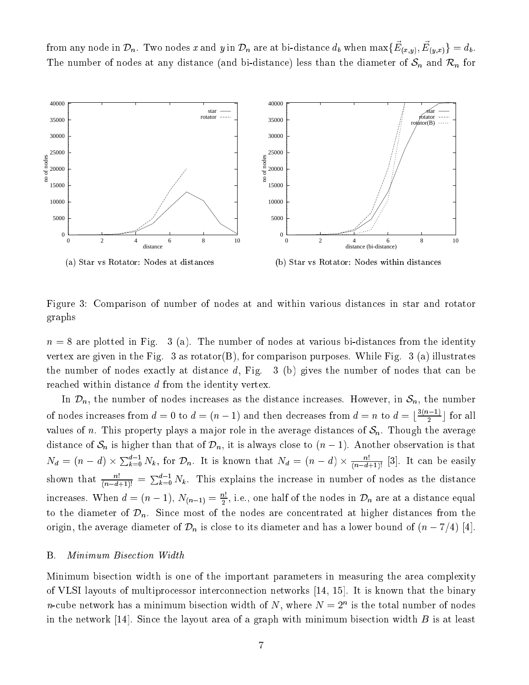from any node in  $\nu_n$ . Two nodes x and y in  $\nu_n$  are at bi-distance  $a_b$  when maxf $\nu_{(x,u)}, \nu_{(y,x)}$  (  $= a_b.$ The number of the nodes at any distance (and bi-distance) less than the distance  $\alpha$  and  $\alpha$ 



(a) Star vs Rotator: Nodes at distances  $\mathcal{S}$  , star vs Rotator: Nodes with distances with distances  $\mathcal{S}$ 

Figure 3: Comparison of number of nodes at and within various distances in star and rotator graphs

n a straighted in Fig. 3 (a). The number of nodes at various at various contracts from the identity. vertex are given in the Fig. 3 as rotator(B), for comparison purposes. While Fig. 3 (a) illustrates the number of nodes exactly at distance  $d$ , Fig. 3 (b) gives the number of nodes that can be reached within distance d from the identity vertex.

In  $\mathcal{D}_n$ , the number of nodes increases as the distance increases. However, in  $\mathcal{S}_n$ , the number of nodes increases from  $d = 0$  to  $d = (n - 1)$  and then decreases from  $d = n$  to  $d = \lfloor \frac{n(n-1)}{2} \rfloor$  for all values of n. This property plays a major role in the average distances of  $S_n$ . Though the average distance of Sn is higher than that of Dn, it is always close to (n  $1$ ). Another observation is that o  $N_d = (n-d) \times \sum_{k=0}^{a-1} N_k$ , for  $\mathcal{D}_n$ . It is known that  $N_d = (n-d) \times \frac{n!}{(n-d+1)!}$  [3]. It can be easily shown that  $\frac{n!}{(n-d+1)!} = \sum_{k=0}^{a-1} N_k$ . This explains the increase in number of nodes as the distance increases. When  $a = (n - 1)$ ,  $N_{(n-1)} = \frac{1}{2}$ , i.e., one half of the nodes in  $\nu_n$  are at a distance equal to the diameter of  $\mathcal{D}_n$ . Since most of the nodes are concentrated at higher distances from the origin, the average diameter of Dn is close to its diameter and has <sup>a</sup> lower bound of (n 7=4) [4].

#### Β. Minimum Bisection Width

Minimum bisection width is one of the important parameters in measuring the area complexity of VLSI layouts of multiprocessor interconnection networks [14, 15]. It is known that the binary n-cube network has a minimum bisection width of  $N$ , where  $N = 2^n$  is the total number of nodes in the network  $[14]$ . Since the layout area of a graph with minimum bisection width B is at least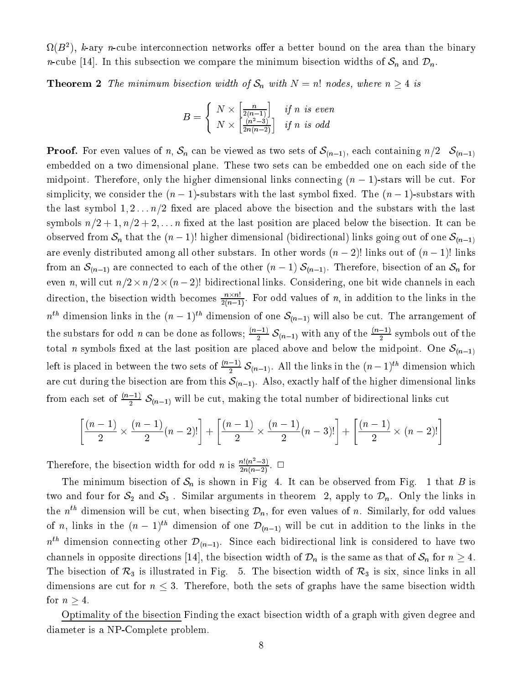$\Omega(D^-)$ , k-ary n-cube interconnection networks offer a better bound on the area than the binary n-cube [14]. In this subsection we compare the minimum bisection widths of  $\alpha$  and  $\alpha$  and  $\alpha$  and  $\alpha$ 

**Theorem 2** The minimum bisection width of  $S_n$  with  $N = n!$  nodes, where  $n \geq 4$  is

$$
B = \begin{cases} N \times \left[\frac{n}{2(n-1)}\right] & \text{if } n \text{ is even} \\ N \times \left[\frac{(n^2-3)}{2n(n-2)}\right] & \text{if } n \text{ is odd} \end{cases}
$$

**Proof.** For even values of n,  $S_n$  can be viewed as two sets of  $S_{(n-1)}$ , each containing  $n/2$   $S_{(n-1)}$ embedded on a two dimensional plane. These two sets can be embedded one on each side of the midpoint. Therefore, only the higher dimensional links connecting  $(n - 1)$ -stars will be cut. For simplicity, we consider the  $(n-1)$ -substars with the last symbol fixed. The  $(n-1)$ -substars with the last symbol  $1, 2, \ldots n/2$  fixed are placed above the bisection and the substars with the last symbols  $n/2 + 1$ ,  $n/2 + 2, \ldots n$  fixed at the last position are placed below the bisection. It can be observed from Sn that the (n  $-1$ ) higher dimensional (bidirectional) links  $G$  one  $G$  one  $\sim$  one  $S(0,1)$ are evenly distributed among all other substars. In other words  $(n-2)!$  links out of  $(n-1)!$  links from an  $S_{(n-1)}$  are connected to each of the other  $(n-1) S_{(n-1)}$ . Therefore, bisection of an  $S_n$  for even n, will cut n=2-n=2-(n2)! bidirectional links. Considering, one bit wide channels in each direction, the bisection width becomes  $\frac{1}{2(n-1)}$ . For odd values of n, in addition to the links in the  $n$  antifension links in the ( $n - 1$ ) antifension of one  $\mathcal{S}_{(n-1)}$  will also be cut. The arrangement of the substars for odd *n* can be done as follows;  $\frac{N-2}{2}$   $\mathcal{S}_{(n-1)}$  with any of the  $\frac{N-2}{2}$  symbols out of the total *n* symbols fixed at the last position are placed above and below the midpoint. One  $S_{(n-1)}$ left is placed in between the two sets of  $\frac{n-2}{2}$   $\mathcal{S}_{(n-1)}$ . All the links in the  $(n-1)^{m}$  dimension which are cut during the bisection are from this  $S_{(n-1)}$ . Also, exactly half of the higher dimensional links from each set of  $\frac{N-2}{2}$   $\mathcal{S}_{(n-1)}$  will be cut, making the total number of bidirectional links cut

$$
\left[\frac{(n-1)}{2} \times \frac{(n-1)}{2} (n-2)! \right] + \left[\frac{(n-1)}{2} \times \frac{(n-1)}{2} (n-3)! \right] + \left[\frac{(n-1)}{2} \times (n-2)! \right]
$$

Therefore, the bisection width for odd *n* is  $\frac{n!(n^2-3)}{2n(n-2)}$ .  $\Box$ 

The minimum bisection of S  $n$  is shown in Fig. 1. It can be observed from Fig. 1 that B is shown  $\Gamma$ two and four for  $S_2$  and  $S_3$ . Similar arguments in theorem 2, apply to  $\mathcal{D}_n$ . Only the links in the  $n^{th}$  dimension will be cut, when bisecting  $\mathcal{D}_n$ , for even values of n. Similarly, for odd values of n, links in the  $(n-1)^{th}$  dimension of one  $\mathcal{D}_{(n-1)}$  will be cut in addition to the links in the  $n$  althension connecting other  $\nu_{(n-1)}$ . Since each bidirectional link is considered to have two channels in opposite directions in  $\vert \tau_{1}\vert$ , the bisection width of  $\tau_{0}$  for the same as that of Sn for  $\vert t\vert$ The bisection of  $\mathcal{R}_3$  is illustrated in Fig. 5. The bisection width of  $\mathcal{R}_3$  is six, since links in all dimensions are cut for  $n \leq 3$ . Therefore, both the sets of graphs have the same bisection width for  $n \geq 4$ .

Optimality of the bisection Finding the exact bisection width of <sup>a</sup> graph with given degree and diameter is a NP-Complete problem.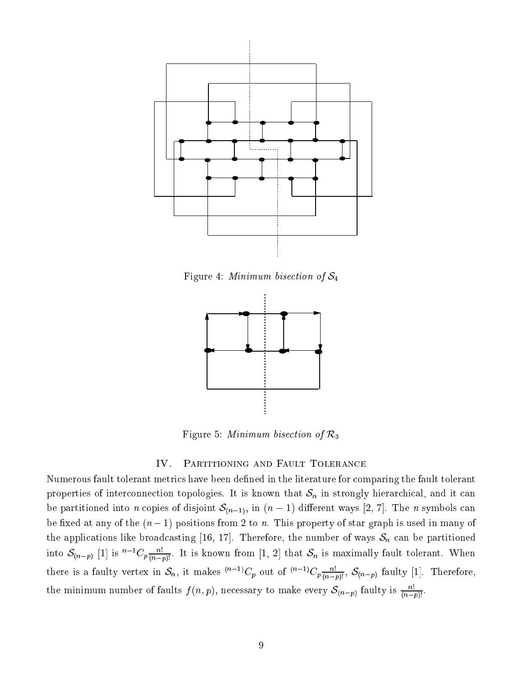

Figure 4: Minimum bisection of  $S_4$ 



Figure 5: Minimum bisection of  $\mathcal{R}_3$ 

#### IV. PARTITIONING AND FAULT TOLERANCE

Numerous fault tolerant metrics have been defined in the literature for comparing the fault tolerant properties of interconnection topologies. It is known that Sn in strongly hierarchical, and it can be partitioned into *n* copies of disjoint  $S_{(n-1)}$ , in  $(n-1)$  different ways [2, 7]. The *n* symbols can be fixed at any of the  $(n-1)$  positions from 2 to n. This property of star graph is used in many of the applications like broadcasting [16, 17]. Therefore, the number of ways Sn can be partitioned into  $\mathcal{S}_{(n-p)}$  [1] is n  ${}^{+}C_{p}\frac{}{(n-p)!}$ . It is known from [1, 2] that  $\mathcal{S}_n$  is maximally fault tolerant. When there is a faulty vertex in  $\mathcal{S}_n$ , it makes  $\frac{N}{C_p}$  out of  $\frac{N}{C_p} \frac{1}{(n-p)!}$ ,  $\mathcal{S}_{(n-p)}$  faulty [1]. Therefore, the minimum number of faults  $f(n, p)$ , necessary to make every  $\mathcal{S}_{(n-p)}$  faulty is  $\frac{1}{(n-p)!}$ .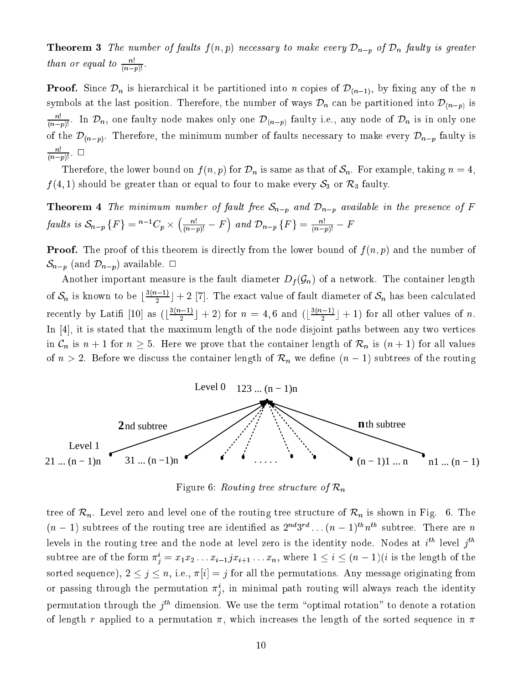**Theorem 3** The number of faults  $f(n, p)$  necessary to make every  $\mathcal{D}_{n-p}$  of  $\mathcal{D}_n$  faulty is greater than or equal to  $\frac{1}{(n-p)!}$ .

**Proof.** Since  $\mathcal{D}_n$  is hierarchical it be partitioned into n copies of  $\mathcal{D}_{(n-1)}$ , by fixing any of the n symbols at the last position. The number of ways DN can be partition in the number of  $w$  $\overline{(n-p)!}$ . In  $\nu_n$ , one faulty node makes only one  $\nu_{(n-p)}$  faulty i.e., any node of  $\nu_n$  is in only one of the  $\mathcal{D}_{(n-p)}$ . Therefore, the minimum number of faults necessary to make every  $\mathcal{D}_{n-p}$  faulty is  $\overline{(n-p)!}$ .

Therefore, the lower bound on for  $\mathbf{r}$  is same as that of  $\mathbf{r}$  is same as that of  $\mathbf{r}$ f (and the greater than  $\alpha$  is the state or equal to four to make every S3 or  $\alpha$  ,  $\alpha$  or  $\alpha$  faulty.

**Theorem 4** The minimum number of fault free  $S_{n-p}$  and  $\mathcal{D}_{n-p}$  available in the presence of F *faults is*  $O_{n-p}$   $\{F\}$  =  $\cup_{p}$   $\times$  $\left(\frac{n!}{(n-p)!} - F\right)$ ) and  $\mathcal{D}_{n-p}\{F\} = \frac{n!}{(n-p)!} - F$ 

**Proof.** The proof of this theorem is directly from the lower bound of  $f(n, p)$  and the number of  $\mathcal{S}_{n-p}$  (and  $\mathcal{D}_{n-p}$ ) available.  $\Box$ 

 $\mathbf{A}$  is the fault diameter  $\mathbf{A}$  of a network. The container length  $\mathbf{G}$ of  $\delta_n$  is known to be  $\lceil \frac{1}{2} \rceil + 2 \lceil 7 \rceil$ . The exact value of fault diameter of  $\delta_n$  has been calculated recently by Latin [10] as  $\left( \frac{1}{2} \frac{1}{2} \right)$  $\frac{(-1)^{n}}{2}$  + 2) for  $n = 4, 6$  and  $\left(\frac{(-1)^{n}}{2}\right)$ 2 d + *- 1* for all other values of n. In [4], it is stated that the maximum length of the node disjoint paths between any two vertices in the container length of  $\Gamma$  for all  $\Gamma$  is (n  $\Gamma$  is  $\Gamma$ ) for all values of  $\Gamma$ of a section and the container length of the contact  $\alpha$  ,  $\alpha$  we denote the routing  $\alpha$ 



Figure 6: Routing tree structure of  $\mathcal{R}_n$ 

tree of Rn. Level zero and level one of the routing tree structure of Rn is shown in Fig. 6. The  $(n-1)$  subtrees of the routing tree are identified as  $2^{n-3}$   $\dots$  ( $n-1$ )  $n$  subtree. There are n levels in the routing tree and the node at level zero is the identity hode. Nodes at  $i^{\ldots}$  level  $j^{\ldots}$ subtree are of the form  $\pi_j = x_1x_2\ldots x_{i-1}jx_{i+1}\ldots x_n$ , where  $1\leq i\leq (n-1)(i$  is the length of the sorted sequence),  $2 \le j \le n$ , i.e.,  $\pi[i] = j$  for all the permutations. Any message originating from or passing through the permutation  $\pi_i$ , in minimal path routing will always reach the identity jpermutation through the  $\jmath^{\ldots}$  dimension. We use the term  $\,$  optimal rotation  $\,$  to denote a rotation of length r applied to a permutation  $\pi$ , which increases the length of the sorted sequence in  $\pi$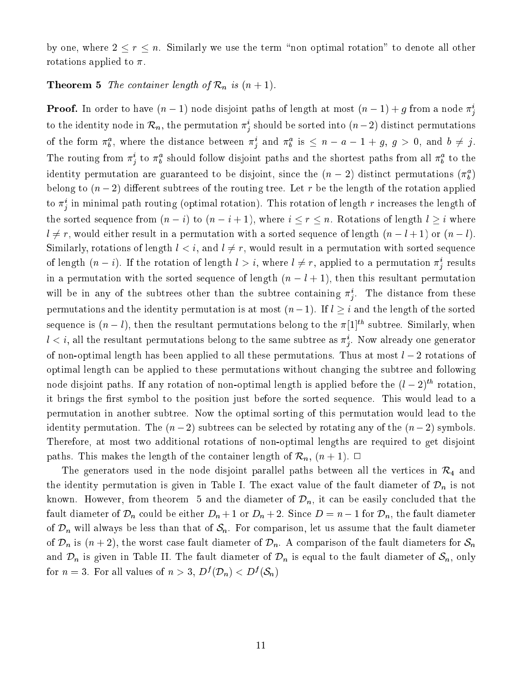by one, where  $2 \le r \le n$ . Similarly we use the term "non optimal rotation" to denote all other rotations applied to  $\pi$ .

#### **Theorem 5** The container length of  $\mathcal{R}_n$  is  $(n+1)$ .

**Proof.** In order to have  $(n-1)$  node disjoint paths of length at most  $(n-1)+g$  from a node  $\pi^i_j$ to the identity node in  $\kappa_n,$  the permutation  $\pi_j$  should be sorted into  $(n-2)$  distinct permutations of the form  $\pi_b^*$ , where the distance between  $\pi_j^*$  and  $\pi_b^*$  is  $\leq n-a-1+g,~g>0,$  and  $o\neq j.$ The routing from  $\pi_j$  to  $\pi_b$  should follow disjoint paths and the shortest paths from an  $\pi_b$  to the identity permutation are guaranteed to be disjoint, since the  $(n-2)$  distinct permutations  $(\pi_b^-)$ belong to  $(n-2)$  different subtrees of the routing tree. Let r be the length of the rotation applied to  $\pi_j^*$  in minimal path routing (optimal rotation). This rotation of length  $r$  increases the length of the sorted sequence from  $(n - i)$  to  $(n - i + 1)$ , where  $i \le r \le n$ . Rotations of length  $l \ge i$  where l 6= r, would either result in a permutation with a sorted sequence of length (n <sup>l</sup> + 1) or (n l). Similarly, rotations of length  $l < i$ , and  $l \neq r$ , would result in a permutation with sorted sequence of length  $(n - i)$ . If the rotation of length  $i > i$ , where  $i \neq r$ , applied to a permutation  $\pi^*_j$  results in a permutation with the sorted sequence of length  $(n - l + 1)$ , then this resultant permutation will be in any of the subtrees other than the subtree containing  $\pi_{j}$ . The distance from these permutations and the identity permutation is at most  $(n-1)$ . If  $l \geq i$  and the length of the sorted sequence is  $(n - l)$ , then the resultant permutations belong to the  $\pi[1]^{th}$  subtree. Similarly, when  $t \leq t$ , all the resultant permutations belong to the same subtree as  $\pi$  . Now already one generator jof non-optimal length has been applied to all these permutations. Thus at most  $l-2$  rotations of optimal length can be applied to these permutations without changing the subtree and following node disjoint paths. If any rotation of non-optimal length is applied before the  $(l-2)^{th}$  rotation, it brings the first symbol to the position just before the sorted sequence. This would lead to a permutation in another subtree. Now the optimal sorting of this permutation would lead to the identity permutation. The  $(n-2)$  subtrees can be selected by rotating any of the  $(n-2)$  symbols. Therefore, at most two additional rotations of non-optimal lengths are required to get disjoint paths. This makes the length of the container length of  $\mathcal{R}_n$ ,  $(n+1)$ .  $\Box$ 

The generators used in the node disjoint parallel paths between all the vertices in  $\mathcal{R}_4$  and the identity permutation is given in Table I. The exact value of the fault diameter of Dn is not known. However, from theorem 5 and the diameter of  $\mathcal{D}_n$ , it can be easily concluded that the fault diameter of Dn  $\mu$  - Could be either D  $\mu$  + 2. Since D  $\mu$  + 2. Since  $\mu$  , the fact diameter of  $\mu$ of D<sub>n</sub> will always be less than that of Sn. For comparison, let us assume that the fault diameter that the fault of  $\mu$  is (n  $\mu$  ), the worst case fault diameter in the fault diameter of the fault diameters for Sn.  $\mu$ and Dn is given in Table II. The fault diameter of Dn is equal to the fault diameter of Sn, only of Sn, only o for  $n = s$ . For all values of  $n > s$ ,  $D^s(D_n) \leq D^s(\mathcal{S}_n)$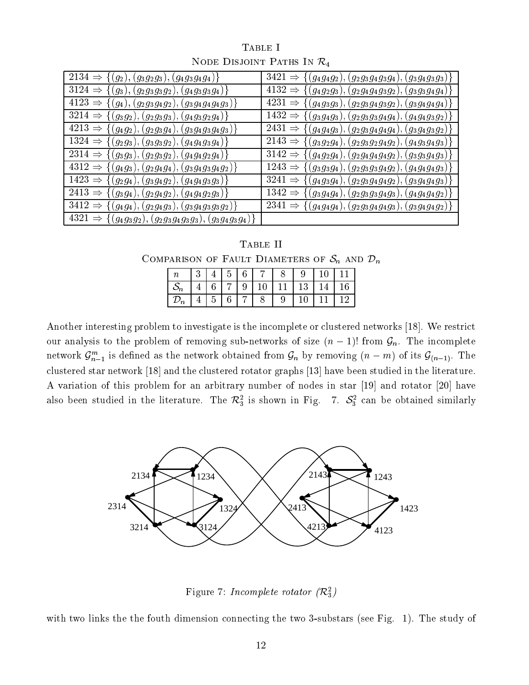| $2134 \Rightarrow \{(g_2), (g_3g_2g_3), (g_4g_3g_4g_4)\}\$                  | $3421 \Rightarrow \{(g_4g_4g_2), (g_2g_3g_4g_3g_4), (g_3g_4g_3g_3)\}\$ |
|-----------------------------------------------------------------------------|------------------------------------------------------------------------|
| $3124 \Rightarrow \{(g_3), (g_2g_3g_3g_2), (g_4g_3g_3g_4)\}\$               | $4132 \Rightarrow \{(g_4g_2g_3), (g_2g_4g_4g_3g_2), (g_3g_3g_4g_4)\}\$ |
| $4123 \Rightarrow \{(g_4), (g_2g_3g_4g_2), (g_3g_4g_4g_4g_3)\}\$            | $4231 \Rightarrow \{(g_4g_3g_3), (g_2g_3g_4g_3g_2), (g_3g_4g_4g_4)\}\$ |
| $3214 \Rightarrow \{(g_3g_2), (g_2g_3g_3), (g_4g_3g_2g_4)\}\$               | $1432 \Rightarrow \{(g_3g_4g_3), (g_2g_3g_3g_4g_4), (g_4g_4g_3g_2)\}\$ |
| $4213 \Rightarrow \{(g_4g_2), (g_2g_3g_4), (g_3g_4g_3g_4g_3)\}\$            | $2431 \Rightarrow \{(g_4g_4g_3), (g_2g_3g_4g_4g_4), (g_3g_4g_3g_2)\}\$ |
| $1324 \Rightarrow \{(g_2g_3), (g_3g_3g_2), (g_4g_4g_3g_4)\}\$               | $2143 \Rightarrow \{(g_3g_2g_4), (g_2g_3g_2g_4g_2), (g_4g_3g_4g_3)\}\$ |
| $2314 \Rightarrow \{(g_3g_3), (g_2g_3g_2), (g_4g_4g_2g_4)\}\$               | $3142 \Rightarrow \{(g_4g_2g_4), (g_2g_4g_4g_4g_2), (g_3g_3g_4g_3)\}\$ |
| $4312 \Rightarrow \{(g_4g_3), (g_2g_4g_4), (g_3g_4g_3g_4g_2)\}\$            | $1243 \Rightarrow \{(g_3g_3g_4), (g_2g_3g_3g_4g_2), (g_4g_4g_4g_3)\}\$ |
| $1423 \Rightarrow \{(g_2g_4), (g_3g_4g_2), (g_4g_4g_3g_3)\}\$               | $3241 \Rightarrow \{(g_4g_3g_4), (g_2g_3g_4g_4g_2), (g_3g_4g_4g_3)\}\$ |
| $2413 \Rightarrow \{(g_3g_4), (g_2g_4g_2), (g_4g_4g_2g_3)\}\$               | $1342 \Rightarrow \{(g_3g_4g_4), (g_2g_3g_3g_4g_3), (g_4g_4g_4g_2)\}\$ |
| $\overline{3412} \Rightarrow \{(g_4g_4), (g_2g_4g_3), (g_3g_4g_3g_3g_2)\}\$ | $2341 \Rightarrow \{(g_4g_4g_4), (g_2g_3g_4g_4g_3), (g_3g_4g_4g_2)\}\$ |
| $4321 \Rightarrow \{(g_4g_3g_2), (g_2g_3g_4g_3g_3), (g_3g_4g_3g_4)\}\$      |                                                                        |

TABLE I NODE DISJOINT PATHS IN  $\mathcal{R}_4$ 

|                                                                      |  | TABLE II |  |  |
|----------------------------------------------------------------------|--|----------|--|--|
| COMPARISON OF FAULT DIAMETERS OF $\mathcal{S}_n$ and $\mathcal{D}_n$ |  |          |  |  |

|  |                | К         |     |                                  |                    |  |
|--|----------------|-----------|-----|----------------------------------|--------------------|--|
|  |                | 6   7   7 |     | $9 \mid 10 \mid 11 \mid 13 \mid$ |                    |  |
|  | $\mathsf{K}$ I |           | 7 L |                                  | $110 \mid 11 \mid$ |  |

Another interesting problem to investigate is the incomplete or clustered networks [18]. We restrict our analysis to the problem of removing sub-networks of size  $(n - 1)!$  from  $\mathcal{G}_n$ . The incomplete network  $\bm{g}_{n-1}^-$  is defined as the network obtained from  $\bm{g}_n$  by removing  $(n-m)$  of its  $\bm{g}_{(n-1)}$ . The clustered star network [18] and the clustered rotator graphs [13] have been studied in the literature. A variation of this problem for an arbitrary number of nodes in star [19] and rotator [20] have also been studied in the interature. The  $\kappa_{\bar{3}}$  is shown in Fig. 7.  $\delta_{\bar{3}}$  can be obtained similarly



**Figure** *(: Incomplete rotator* ( $\kappa_3$ )

with two links the the fouth dimension connecting the two 3-substars (see Fig. 1). The study of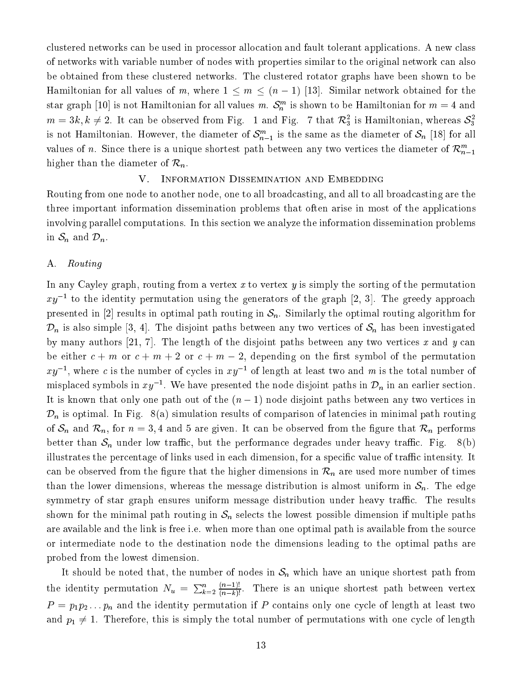clustered networks can be used in processor allocation and fault tolerant applications. A new class of networks with variable number of nodes with properties similar to the original network can also be obtained from these clustered networks. The clustered rotator graphs have been shown to be Hamiltonian for all values of m, where  $1 \le m \le (n - 1)$  [13]. Similar network obtained for the star graph [10] is not Hamiltonian for all values m.  $\mathcal{S}_n^{\,n}$  is shown to be Hamiltonian for  $m = 4$  and  $m = 3\kappa, \kappa \neq 2$ . It can be observed from Fig. 1 and Fig. 7 that  $\kappa_3^-$  is Hamiltonian, whereas  $\mathcal{S}_3^+$ is not Hamiltonian. However, the diameter of  $\mathcal{S}_{n-1}^{-}$  is the same as the diameter of  $\mathcal{S}_n^{-}$  [18] for all values of n. Since there is a unique shortest path between any two vertices the diameter of  $\mathcal{R}_{n-1}^m$ higher than the diameter of  $\mathcal{R}_n$ .

#### V. Information Dissemination and Embedding

Routing from one node to another node, one to all broadcasting, and all to all broadcasting are the three important information dissemination problems that often arise in most of the applications involving parallel computations. In this section we analyze the information dissemination problems  $\sum_{i=1}^{n}$   $\sum_{i=1}^{n}$ 

#### A. Routing

In any Cayley graph, routing from a vertex x to vertex y is simply the sorting of the permutation  $xy$  – to the identity permutation using the generators of the graph  $|2,|3|$ . The greedy approach presented in [2] results in optimal path routing in  $S_n$ . Similarly the optimal routing algorithm for Die disjoint paths between any two vertices of Sn has been investigated between  $\alpha$ by many authors [21, 7]. The length of the disjoint paths between any two vertices x and y can be either  $c + m$  or  $c + m + 2$  or  $c + m - 2$ , depending on the first symbol of the permutation  $xy$  -, where c is the number of cycles in  $xy$  - of length at least two and  $m$  is the total number of misplaced symbols in  $xy$   $\,$  . We have presented the node disjoint paths in  $\nu_n$  in an earlier section. It is known that only one path out of the  $(n - 1)$  node disjoint paths between any two vertices in  $\mathbb{R}$  is optimal. In Fig. 8(a) simulation results of comparison results of comparison results of comparison results of comparison results of comparison results of comparison results of  $\mathbb{R}$ of Sn and Rn, for all the Sn and Sn are given. It can be observed from the can be observed from the Rn performan better than  $\bullet$   $\mu$  under that tractional the performance degrades under the statistic decay trac. Fig. 8(b) illustrates the percentage of links used in each dimension, for a specific value of traffic intensity. It can be observed from the the higher that the higher dimensions in Rn  $\mu$  are used more number of times in than the lower dimensions, whereas the message distribution is almost uniform in  $\mathcal{S}_n$ . The edge symmetry of star graph ensures uniform message distribution under heavy traffic. The results show for the minimal path routing in Sn selects the lowest possible path multiple paths to multiple paths to are available and the link is free i.e. when more than one optimal path is available from the source or intermediate node to the destination node the dimensions leading to the optimal paths are probed from the lowest dimension.

It shows it is described that, the number of no described  $\bullet$   $_{ll}$  shows and unit showledges path from the showledge the identity permutation  $N_u \ = \ \sum_{k=2}^n$  $\frac{(n-1)!}{(n-k)!}$ . There is an unique shortest path between vertex P <sup>=</sup> p1p2 : : : pn and the identity permutation if <sup>P</sup> contains only one cycle of length at least two and  $p_1 \neq 1$ . Therefore, this is simply the total number of permutations with one cycle of length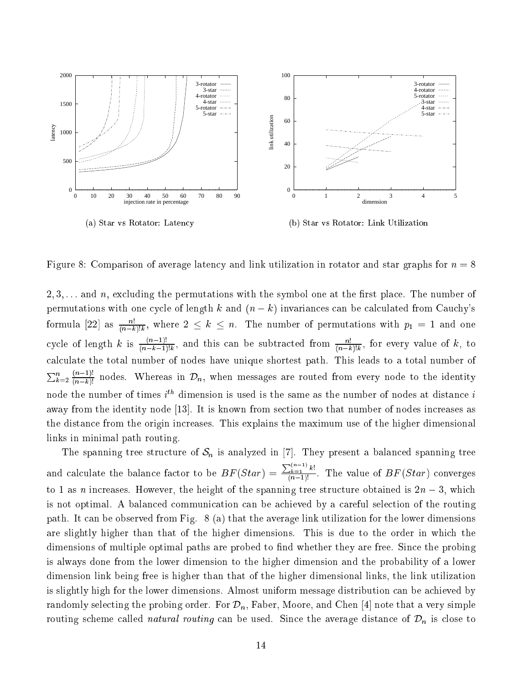

 $\mathcal{L}$  , star vs Rootator: Link Utilization

Figure 8: Comparison of average latency and link utilization in rotator and star graphs for  $n = 8$ 

 $\mathcal{L}$  . State values of  $\mathcal{L}$  and  $\mathcal{L}$  are  $\mathcal{L}$  . Latence in  $\mathcal{L}$ 

 $2, 3, \ldots$  and n, excluding the permutations with the symbol one at the first place. The number of permutations with one cycle of length k and  $(n - k)$  invariances can be calculated from Cauchy's formula [22] as  $\frac{1}{(n-k)!k}$ , where  $2 \leq k \leq n$ . The number of permutations with  $p_1 = 1$  and one cycle of length k is  $\frac{k}{(n-k-1)!k}$ , and this can be subtracted from  $\frac{n-k}{(n-k)!k}$ , for every value of k, to calculate the total number of nodes have unique shortest path. This leads to a total number of  $\sum_{k=2}^n$  $\frac{\partial E}{\partial n-k \ln n}$  nodes. Whereas in  $\mathcal{D}_n$ , when messages are routed from every node to the identity node the number of times  $\imath$  almension is used is the same as the number of nodes at distance  $\imath$ away from the identity node [13]. It is known from section two that number of nodes increases as the distance from the origin increases. This explains the maximum use of the higher dimensional links in minimal path routing.

The spanning tree structure of Sn is analyzed in [7]. They present <sup>a</sup> balanced spanning tree and calculate the balance factor to be  $\alpha$  the balance  $\alpha$  $\frac{\sum_{k=1}^{(n-1)} k!}{(n-1)!}$ . The value of  $BF(Star)$  converges to 1 as *n* increases. However, the height of the spanning tree structure obtained is  $2n - 3$ , which is not optimal. A balanced communication can be achieved by a careful selection of the routing path. It can be observed from Fig. 8 (a) that the average link utilization for the lower dimensions are slightly higher than that of the higher dimensions. This is due to the order in which the dimensions of multiple optimal paths are probed to find whether they are free. Since the probing is always done from the lower dimension to the higher dimension and the probability of a lower dimension link being free is higher than that of the higher dimensional links, the link utilization is slightly high for the lower dimensions. Almost uniform message distribution can be achieved by randomly selecting the probing order. For  $\mathcal{D}_n$ , Faber, Moore, and Chen [4] note that a very simple routing scheme called natural routing can be used. Since the average distance of Dn is close to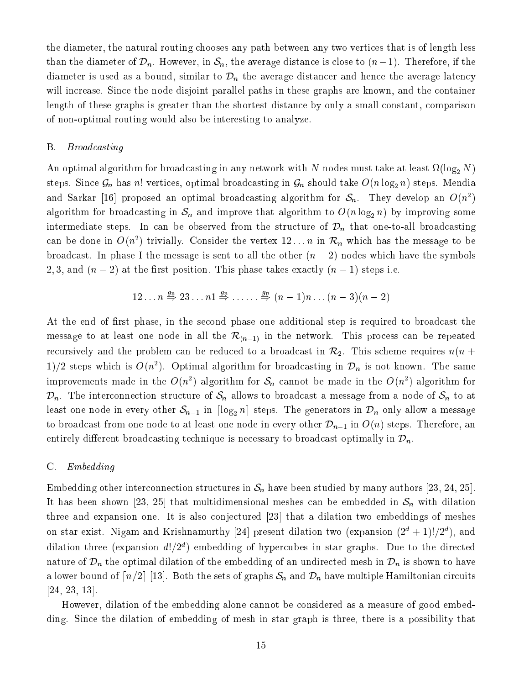the diameter, the natural routing chooses any path between any two vertices that is of length less than the diameter of  $\mathcal{D}_n$ . However, in  $\mathcal{S}_n$ , the average distance is close to  $(n-1)$ . Therefore, if the diameter is used as a bound, since the average distance the average latency  $\alpha$ will increase. Since the node disjoint parallel paths in these graphs are known, and the container length of these graphs is greater than the shortest distance by only a small constant, comparison of non-optimal routing would also be interesting to analyze.

#### B. Broadcasting

An optimal algorithm for broadcasting in any network with <sup>N</sup> nodes must take at least (log2 N) steps. Since  $\sigma_{n}$  has necessary optimized in Gradie  $\sigma$  in  $\sigma_{n}$  showledge  $\sigma_{n}$  ,  $\sigma_{2}$  n) steps. Mendian  $\sigma_{n}$ and Sarkar [16] proposed an optimal broadcasting algorithm for  $\mathcal{S}_n$ . They develop an  $O(n^2)$ algorithm for algorithm for  $\alpha$  and  $\alpha$  and improve that algorithm to  $\alpha$  (n log2 n) by improving some intermediate steps. In can be observed from the steps. In case of Dn that one-to-all broadcasting  $\Omega$ can be done in  $O(n$  ) trivially. Consider the vertex  $12 \ldots n$  in  $\mathcal{K}_n$  which has the message to be broadcast. In phase I the message is sent to all the other  $(n-2)$  nodes which have the symbols 2, 3, and  $(n-2)$  at the first position. This phase takes exactly  $(n-1)$  steps i.e.

$$
12 \ldots n \stackrel{g_n}{\Rightarrow} 23 \ldots n1 \stackrel{g_n}{\Rightarrow} \ldots \ldots \stackrel{g_n}{\Rightarrow} (n-1)n \ldots (n-3)(n-2)
$$

At the end of first phase, in the second phase one additional step is required to broadcast the message to at least one node in all the  $\mathcal{R}_{(n-1)}$  in the network. This process can be repeated recursively and the problem can be reduced to a broadcast in  $\mathcal{R}_2$ . This scheme requires  $n(n +$ 1)/2 steps which is  $O(n^2)$ . Optimal algorithm for broadcasting in  $D_n$  is not known. The same improvements made in the  $O(n^2)$  algorithm for  $\mathcal{S}_n$  cannot be made in the  $O(n^2)$  algorithm for Den. The interconnection structure of Sn allows to  $\mathbf{v}_H$  allows to broadcast a message from a node of  $\mathbf{v}_H$  to at least one node in every other  $S_{n-1}$  in  $\lceil \log_2 n \rceil$  steps. The generators in  $\mathcal{D}_n$  only allow a message to broadcast from one node to at least one node in every other  $\mathcal{D}_{n-1}$  in  $O(n)$  steps. Therefore, an entirely different broadcasting technique is necessary to broadcast optimally in  $\mathcal{D}_n$ .

#### C. Embedding

Embedding other interconnection structures in Sn have been studied by many authors [23, 24, 25]. It has been shown [23, 25] that multidimensional meshes can be embedded in Sn with dilation three and expansion one. It is also conjectured [23] that a dilation two embeddings of meshes on star exist. Nigam and Krishnamurthy [24] present dilation two (expansion (2  $\pm$  1)!/2 ), and dilation three (expansion  $a!/2^{\circ}$ ) embedding of hypercubes in star graphs. Due to the directed nature of  $D$  and optimizes distribution of the embedding of an undirected mesh in  $D$  is shown to have  $\sim$ a lower bound of  $\{1,1\}$ . Both the sets of graphs of  $Q$  and  $\{0,1\}$  and  $\{0,1\}$  is an and DN hamiltonian components  $\{0,1\}$ [24, 23, 13].

However, dilation of the embedding alone cannot be considered as a measure of good embedding. Since the dilation of embedding of mesh in star graph is three, there is a possibility that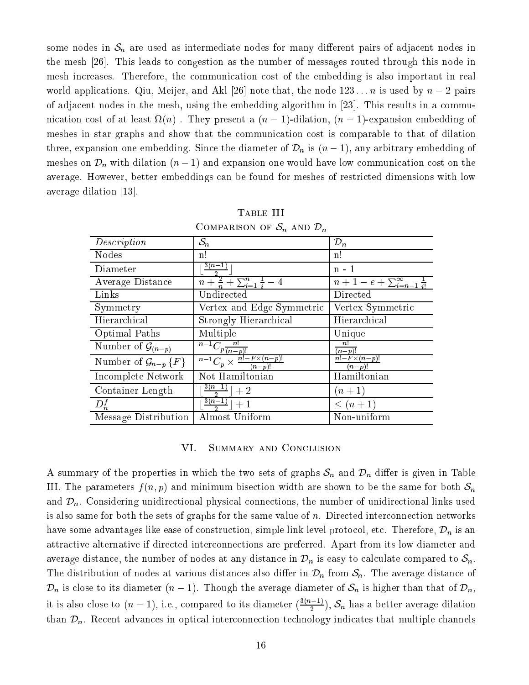some nodes in Sn are used as intermediate nodes for many dierent pairs of adjacent nodes in the mesh [26]. This leads to congestion as the number of messages routed through this node in mesh increases. Therefore, the communication cost of the embedding is also important in real world applications. Qiu, Meijer, and Akl [26] note that, the node 123... *n* is used by  $n-2$  pairs of adjacent nodes in the mesh, using the embedding algorithm in [23]. This results in a communication cost of at least (n) . They present a (n 1)-dilation, (n 1)-expansion embedding of meshes in star graphs and show that the communication cost is comparable to that of dilation three, expansion one embedding. Since the diameter of Dn is (n  $\pm$  ), any arbitrary embedding of meshes on  $\mathcal{L}$  and  $\mathcal{L}$  and  $\mathcal{L}$  and expansion one would have low control to the set on the set of the set on the set on the set of the set of the set on the set of the set on the set on the set of the set of average. However, better embeddings can be found for meshes of restricted dimensions with low average dilation [13].

| COMEANISON OF $\mathcal{O}_n$ AND $\mathcal{D}_n$ |                                                                                                                        |                                                           |  |  |  |  |
|---------------------------------------------------|------------------------------------------------------------------------------------------------------------------------|-----------------------------------------------------------|--|--|--|--|
| Description                                       | $S_n$                                                                                                                  | $\mathcal{D}_n$                                           |  |  |  |  |
| <b>Nodes</b>                                      | n!                                                                                                                     | n!                                                        |  |  |  |  |
| Diameter                                          | $3(n-1)$                                                                                                               | $n - 1$                                                   |  |  |  |  |
| Average Distance                                  | $\overline{n+\frac{2}{n}+\sum_{i=1}^{n}\frac{1}{i}}-4$                                                                 | $\overline{n+1} - e + \sum_{i=n-1}^{\infty} \frac{1}{i!}$ |  |  |  |  |
| Links                                             | Undirected                                                                                                             | Directed                                                  |  |  |  |  |
| Symmetry                                          | Vertex and Edge Symmetric                                                                                              | Vertex Symmetric                                          |  |  |  |  |
| Hierarchical                                      | <b>Strongly Hierarchical</b>                                                                                           | Hierarchical                                              |  |  |  |  |
| Optimal Paths                                     | Multiple                                                                                                               | Unique                                                    |  |  |  |  |
| Number of $\mathcal{G}_{(n-p)}$                   |                                                                                                                        | n!<br>$\frac{(n-p)!}{n!-F \times (n-p)!}$                 |  |  |  |  |
| Number of $\mathcal{G}_{n-p}$ {F}                 | $\frac{\frac{n!}{n-1C_p \frac{n!}{(n-p)!}}}{\left \frac{n-1}{n}C_p \times \frac{n! - F \times (n-p)!}{(n-p)!}\right }$ | $(n-p)!$                                                  |  |  |  |  |
| Incomplete Network                                | Not Hamiltonian                                                                                                        | Hamiltonian                                               |  |  |  |  |
| Container Length                                  | $\frac{3(n-1)}{2}$   + 2                                                                                               | $(n+1)$                                                   |  |  |  |  |
| $D_n^f$                                           | $\frac{3(n-1)}{2}$   + 1                                                                                               | $\leq (n+1)$                                              |  |  |  |  |
| Message Distribution                              | Almost Uniform                                                                                                         | Non-uniform                                               |  |  |  |  |

Table III COMPARISON OF  $S$  AND  $D$ 

#### VI. Summary and Conclusion

A summary of the properties in which the two sets of graphs Sn and Dn dier is given in Table III. The parameters  $f(n, p)$  and minimum bisection width are shown to be the same for both  $S_n$ and  $\mathcal{D}_n$ . Considering unidirectional physical connections, the number of unidirectional links used is also same for both the sets of graphs for the same value of  $n$ . Directed interconnection networks have some advantages like ease of construction, since  $\mathbb{R}^n$  and it and it and it and it and it and it and it and it and it and it and it and it and it and it and it and it and it and it and it and it and it and it an attractive alternative if directed interconnections are preferred. Apart from its low diameter and average distance, the number of nodes at any distance in Dn is easy to calculate compared to Sn. The distribution of nodes at various distances also distances also distances  $\mu$  are also distance of  $\mu$  and  $\sigma$  $D$  is close to its diameter (n  $D$  ). The average diameter of Sn is  $\mu$  is the average diameter of Dn, it is also close to  $(n-1)$ , i.e., compared to its diameter ( $\frac{1}{2}$ )  $2$ ,  $\sqrt{2}$ ,  $\sqrt{2}$ ,  $\sqrt{2}$ ,  $\sqrt{2}$ ,  $\sqrt{2}$ ,  $\sqrt{2}$ ,  $\sqrt{2}$ ,  $\sqrt{2}$ ,  $\sqrt{2}$ ,  $\sqrt{2}$ ,  $\sqrt{2}$ ,  $\sqrt{2}$ ,  $\sqrt{2}$ ,  $\sqrt{2}$ ,  $\sqrt{2}$ ,  $\sqrt{2}$ ,  $\sqrt{2}$ ,  $\sqrt{2}$ ,  $\sqrt{2}$ ,  $\sqrt{2}$ ,  $\sqrt{2}$ ,  $\sqrt{2}$ ,  $\sqrt{2}$ ,  $\sqrt{2}$ , than  $\mathcal{D}_n$ . Recent advances in optical interconnection technology indicates that multiple channels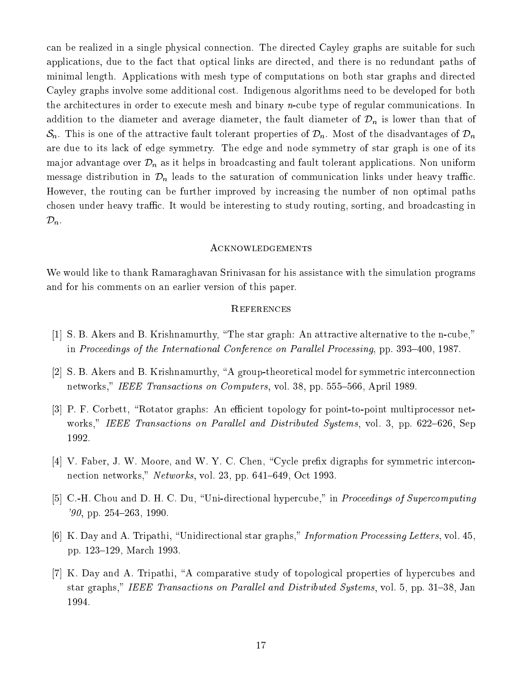can be realized in a single physical connection. The directed Cayley graphs are suitable for such applications, due to the fact that optical links are directed, and there is no redundant paths of minimal length. Applications with mesh type of computations on both star graphs and directed Cayley graphs involve some additional cost. Indigenous algorithms need to be developed for both the architectures in order to execute mesh and binary n-cube type of regular communications. In addition to the diameter and average diameter  $\alpha$  , the fault diameter of  $D$  is lower than that  $\alpha$  $\mathcal{S}_n$ . This is one of the attractive fault tolerant properties of  $\mathcal{D}_n$ . Most of the disadvantages of  $\mathcal{D}_n$ are due to its lack of edge symmetry. The edge and node symmetry of star graph is one of its major advantage over Dn as it helps in broadcasting and fault to the fault tolerant applications. Non uniform in the contractions of the contractions. Non uniform in a second to the contractions. Non uniform in the contrac message distribution in Dan leads to the saturation of communication links under heavy trace. However, the routing can be further improved by increasing the number of non optimal paths chosen under heavy traffic. It would be interesting to study routing, sorting, and broadcasting in  $\mathcal{D}_n$ .

#### Acknowledgements

We would like to thank Ramaraghavan Srinivasan for his assistance with the simulation programs and for his comments on an earlier version of this paper.

#### **REFERENCES**

- [1] S. B. Akers and B. Krishnamurthy, "The star graph: An attractive alternative to the n-cube," in Proceedings of the International Conference on Parallel Processing, pp. 393-400, 1987.
- [2] S. B. Akers and B. Krishnamurthy, "A group-theoretical model for symmetric interconnection networks," IEEE Transactions on Computers, vol. 38, pp. 555–566, April 1989.
- [3] P. F. Corbett, "Rotator graphs: An efficient topology for point-to-point multiprocessor networks," IEEE Transactions on Parallel and Distributed Systems, vol. 3, pp. 622–626, Sep 1992.
- $[4]$  V. Faber, J. W. Moore, and W. Y. C. Chen, "Cycle prefix digraphs for symmetric interconnection networks," Networks, vol. 23, pp. 641-649, Oct 1993.
- [5] C.-H. Chou and D. H. C. Du, "Uni-directional hypercube," in Proceedings of Supercomputing  $'90$ , pp. 254-263, 1990.
- [6] K. Day and A. Tripathi, "Unidirectional star graphs," *Information Processing Letters*, vol. 45, pp. 123-129, March 1993.
- [7] K. Day and A. Tripathi, "A comparative study of topological properties of hypercubes and star graphs," IEEE Transactions on Parallel and Distributed Systems, vol. 5, pp. 31–38, Jan 1994.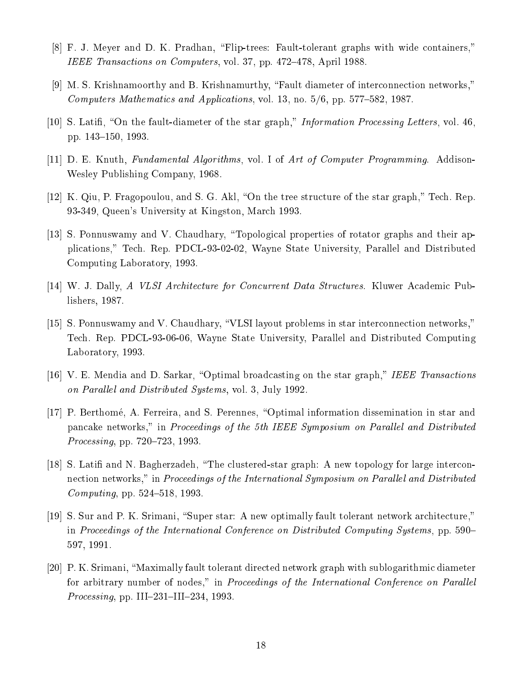- [8] F. J. Meyer and D. K. Pradhan, "Flip-trees: Fault-tolerant graphs with wide containers," IEEE Transactions on Computers, vol. 37, pp. 472–478, April 1988.
- [9] M. S. Krishnamoorthy and B. Krishnamurthy, "Fault diameter of interconnection networks," Computers Mathematics and Applications, vol. 13, no.  $5/6$ , pp.  $577-582$ , 1987.
- [10] S. Latifi, "On the fault-diameter of the star graph," Information Processing Letters, vol. 46, pp. 143-150, 1993.
- [11] D. E. Knuth, Fundamental Algorithms, vol. I of Art of Computer Programming. Addison-Wesley Publishing Company, 1968.
- [12] K. Qiu, P. Fragopoulou, and S. G. Akl, \On the tree structure of the star graph," Tech. Rep. 93-349, Queen's University at Kingston, March 1993.
- [13] S. Ponnuswamy and V. Chaudhary, \Topological properties of rotator graphs and their applications," Tech. Rep. PDCL-93-02-02, Wayne State University, Parallel and Distributed Computing Laboratory, 1993.
- [14] W. J. Dally, A VLSI Architecture for Concurrent Data Structures. Kluwer Academic Publishers, 1987.
- [15] S. Ponnuswamy and V. Chaudhary, "VLSI layout problems in star interconnection networks," Tech. Rep. PDCL-93-06-06, Wayne State University, Parallel and Distributed Computing Laboratory, 1993.
- [16] V. E. Mendia and D. Sarkar, "Optimal broadcasting on the star graph," IEEE Transactions on Parallel and Distributed Systems, vol. 3, July 1992.
- [17] P. Berthome, A. Ferreira, and S. Perennes, \Optimal information dissemination in star and pancake networks," in Proceedings of the 5th IEEE Symposium on Parallel and Distributed *Processing*, pp.  $720-723$ , 1993.
- [18] S. Latifi and N. Bagherzadeh, "The clustered-star graph: A new topology for large interconnection networks," in Proceedings of the International Symposium on Parallel and Distributed  $Computing$ , pp. 524-518, 1993.
- [19] S. Sur and P. K. Srimani, "Super star: A new optimally fault tolerant network architecture," in Proceedings of the International Conference on Distributed Computing Systems, pp. 590– 597, 1991.
- [20] P. K. Srimani, "Maximally fault tolerant directed network graph with sublogarithmic diameter for arbitrary number of nodes," in *Proceedings of the International Conference on Parallel Processing*, pp. III-231-III-234, 1993.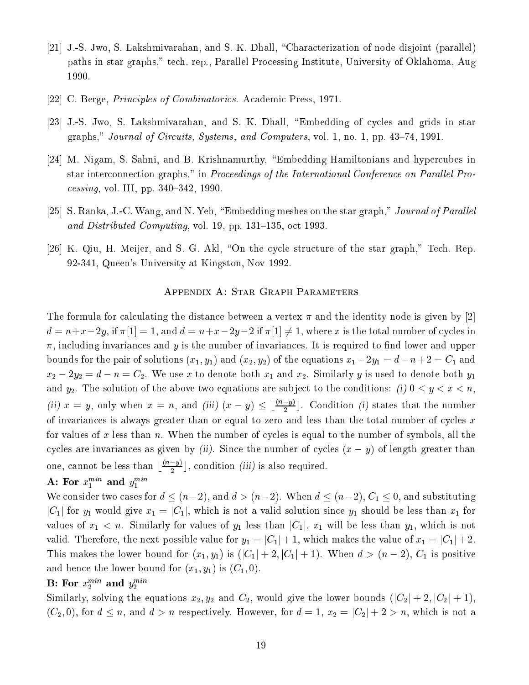- [21] J.-S. Jwo, S. Lakshmivarahan, and S. K. Dhall, "Characterization of node disjoint (parallel) paths in star graphs," tech. rep., Parallel Processing Institute, University of Oklahoma, Aug 1990.
- [22] C. Berge, Principles of Combinatorics. Academic Press, 1971.
- [23] J.-S. Jwo, S. Lakshmivarahan, and S. K. Dhall, \Embedding of cycles and grids in star graphs," Journal of Circuits, Systems, and Computers, vol. 1, no. 1, pp.  $43-74$ , 1991.
- [24] M. Nigam, S. Sahni, and B. Krishnamurthy, \Embedding Hamiltonians and hypercubes in star interconnection graphs," in Proceedings of the International Conference on Parallel Pro*cessing*, vol. III, pp.  $340-342$ , 1990.
- [25] S. Ranka, J.-C. Wang, and N. Yeh, "Embedding meshes on the star graph," *Journal of Parallel* and Distributed Computing, vol. 19, pp.  $131-135$ , oct 1993.
- [26] K. Qiu, H. Meijer, and S. G. Akl, "On the cycle structure of the star graph," Tech. Rep. 92-341, Queen's University at Kingston, Nov 1992.

### APPENDIX A: STAR GRAPH PARAMETERS

The formula for calculating the distance between a vertex  $\pi$  and the identity node is given by [2] denote the  $\alpha$  if  $\alpha$  if  $\alpha$  if  $\alpha$  if  $\alpha$  if  $\alpha$  if  $\alpha$  if  $\alpha$  is the total number of cycles in the total number of cycles in  $\pi$ , including invariances and y is the number of invariances. It is required to find lower and upper bounds for the pair of solutions  $(x_1, y_1)$  and  $(x_2, y_2)$  of the equations  $x_1 - 2y_1 = d - n + 2 = C_1$  and  $x_2 - 2y_2 = d - n = C_2$ . We use x to denote both  $x_1$  and  $x_2$ . Similarly y is used to denote both  $y_1$ and  $y_2$ . The solution of the above two equations are subject to the conditions: (i)  $0 \le y < x < n$ , (ii)  $x = y$ , only when  $x = n$ , and (iii)  $(x - y) \leq \frac{y - 2y}{x - y}$ . Condition (i) states that the number  $$ of invariances is always greater than or equal to zero and less than the total number of cycles  $x$ for values of x less than n. When the number of cycles is equal to the number of symbols, all the cycles are invariances as given by (ii). Since the number of cycles  $(x - y)$  of length greater than one, cannot be less than  $\frac{\sqrt{2}}{2}$  $2$  conditions (iii) is also required.

### $\mathbf{A}\colon \mathbf{For} \,\, x_1^{mn} \,\, \mathbf{and} \,\, y_1^{mn}$

We consider two cases for  $d \leq (n-2)$ , and  $d > (n-2)$ . When  $d \leq (n-2)$ ,  $C_1 \leq 0$ , and substituting  $|C_1|$  for  $y_1$  would give  $x_1 = |C_1|$ , which is not a valid solution since  $y_1$  should be less than  $x_1$  for values of  $x_1 < n$ . Similarly for values of  $y_1$  less than  $|C_1|$ ,  $x_1$  will be less than  $y_1$ , which is not valid. Therefore, the next possible value for  $y_1 = |C_1| + 1$ , which makes the value of  $x_1 = |C_1| + 2$ . This makes the lower bound for  $(x_1, y_1)$  is  $(|C_1| + 2, |C_1| + 1)$ . When  $d > (n-2)$ ,  $C_1$  is positive and hence the lower bound for  $(x_1, y_1)$  is  $(C_1, 0)$ .

#### $\mathbf{B}\colon \mathbf{For}$   $x_2^{min}$  and  $y_2^{min}$

Similarly, solving the equations  $x_2, y_2$  and  $C_2$ , would give the lower bounds  $(|C_2| + 2, |C_2| + 1)$ ,  $(C_2, 0)$ , for  $d \leq n$ , and  $d > n$  respectively. However, for  $d = 1$ ,  $x_2 = |C_2| + 2 > n$ , which is not a